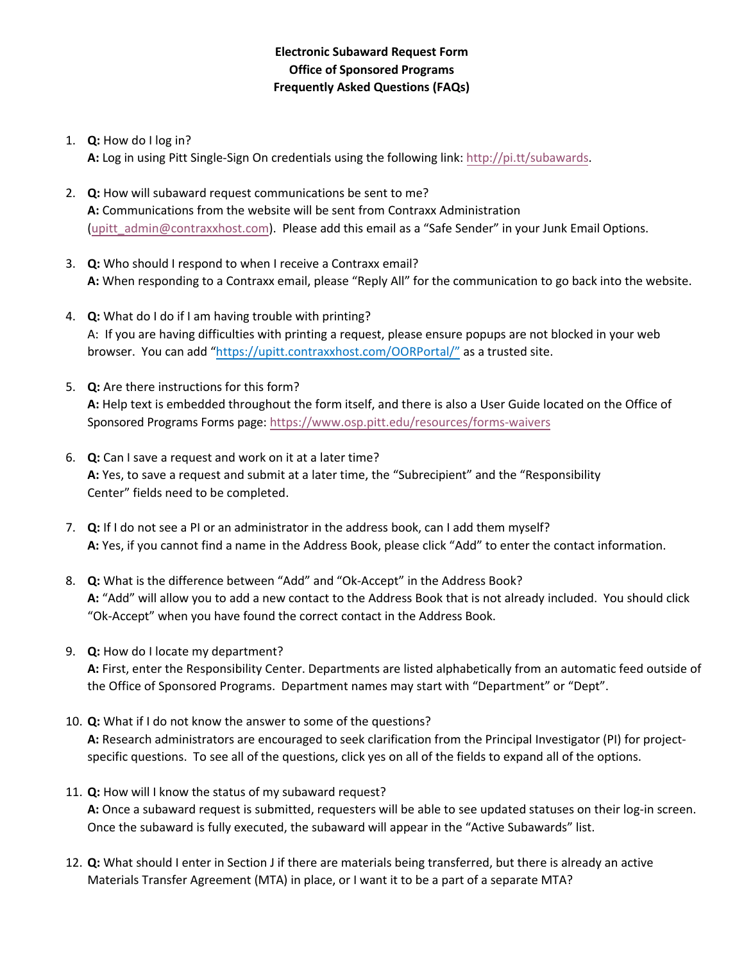## **Electronic Subaward Request Form Office of Sponsored Programs Frequently Asked Questions (FAQs)**

1. **Q:** How do I log in?

**A:** Log in using Pitt Single-Sign On credentials using the following link: [http://pi.tt/subawards.](http://pi.tt/subawards)

- 2. **Q:** How will subaward request communications be sent to me? **A:** Communications from the website will be sent from Contraxx Administration [\(upitt\\_admin@contraxxhost.com\).](mailto:upitt_admin@contraxxhost.com) Please add this email as a "Safe Sender" in your Junk Email Options.
- 3. **Q:** Who should I respond to when I receive a Contraxx email? **A:** When responding to a Contraxx email, please "Reply All" for the communication to go back into the website.
- 4. **Q:** What do I do if I am having trouble with printing? A: If you are having difficulties with printing a request, please ensure popups are not blocked in your web browser. You can add ["https://upitt.contraxxhost.com/OORPortal/"](https://upitt.contraxxhost.com/OORPortal/) as a trusted site.
- 5. **Q:** Are there instructions for this form? **A:** Help text is embedded throughout the form itself, and there is also a User Guide located on the Office of Sponsored Programs Forms page: <https://www.osp.pitt.edu/resources/forms-waivers>
- 6. **Q:** Can I save a request and work on it at a later time? **A:** Yes, to save a request and submit at a later time, the "Subrecipient" and the "Responsibility Center" fields need to be completed.
- 7. **Q:** If I do not see a PI or an administrator in the address book, can I add them myself? **A:** Yes, if you cannot find a name in the Address Book, please click "Add" to enter the contact information.
- 8. **Q:** What is the difference between "Add" and "Ok-Accept" in the Address Book? **A:** "Add" will allow you to add a new contact to the Address Book that is not already included. You should click "Ok-Accept" when you have found the correct contact in the Address Book.
- 9. **Q:** How do I locate my department? **A:** First, enter the Responsibility Center. Departments are listed alphabetically from an automatic feed outside of the Office of Sponsored Programs. Department names may start with "Department" or "Dept".
- 10. **Q:** What if I do not know the answer to some of the questions? **A:** Research administrators are encouraged to seek clarification from the Principal Investigator (PI) for projectspecific questions. To see all of the questions, click yes on all of the fields to expand all of the options.
- 11. **Q:** How will I know the status of my subaward request? **A:** Once a subaward request is submitted, requesters will be able to see updated statuses on their log-in screen. Once the subaward is fully executed, the subaward will appear in the "Active Subawards" list.
- 12. **Q:** What should I enter in Section J if there are materials being transferred, but there is already an active Materials Transfer Agreement (MTA) in place, or I want it to be a part of a separate MTA?